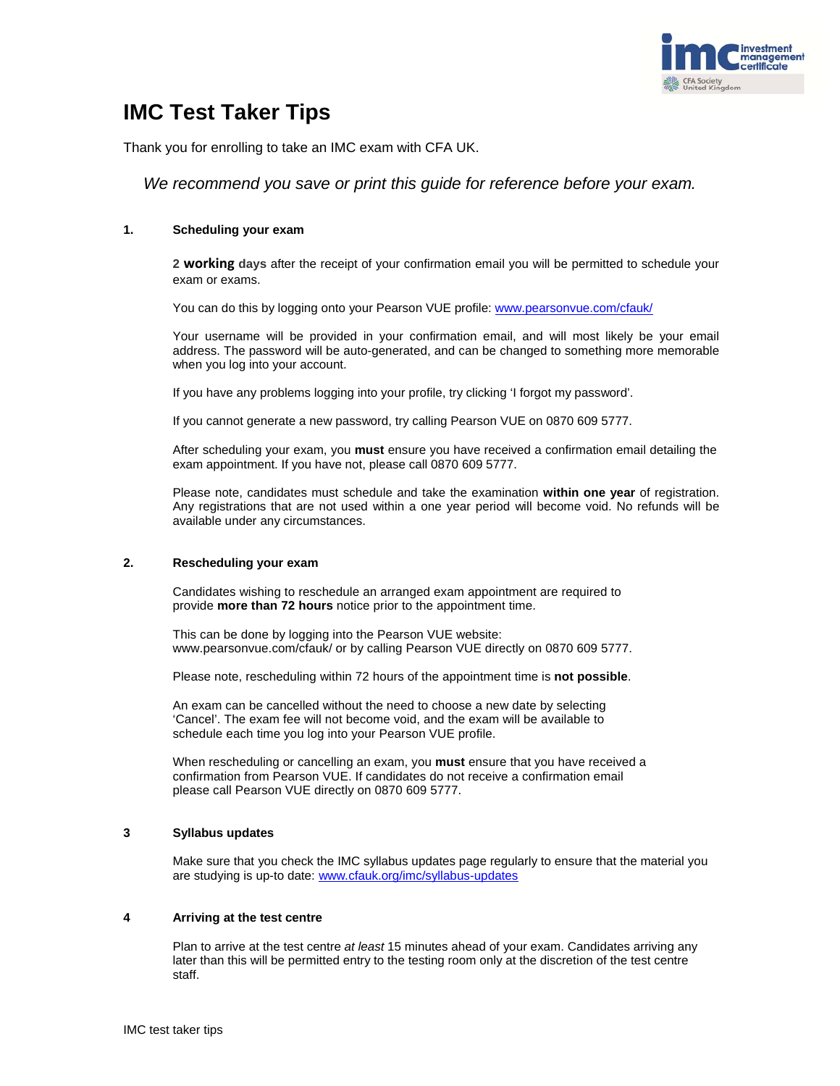

# **IMC Test Taker Tips**

Thank you for enrolling to take an IMC exam with CFA UK.

*We recommend you save or print this guide for reference before your exam.*

# **1. Scheduling your exam**

**2 working days** after the receipt of your confirmation email you will be permitted to schedule your exam or exams.

You can do this by logging onto your Pearson VUE profile: www.pearsonvue.com/cfauk/

Your username will be provided in your confirmation email, and will most likely be your email address. The password will be auto-generated, and can be changed to something more memorable when you log into your account.

If you have any problems logging into your profile, try clicking 'I forgot my password'.

If you cannot generate a new password, try calling Pearson VUE on 0870 609 5777.

After scheduling your exam, you **must** ensure you have received a confirmation email detailing the exam appointment. If you have not, please call 0870 609 5777.

Please note, candidates must schedule and take the examination **within one year** of registration. Any registrations that are not used within a one year period will become void. No refunds will be available under any circumstances.

# **2. Rescheduling your exam**

Candidates wishing to reschedule an arranged exam appointment are required to provide **more than 72 hours** notice prior to the appointment time.

This can be done by logging into the Pearson VUE website: www.pearsonvue.com/cfauk/ or by calling Pearson VUE directly on 0870 609 5777.

Please note, rescheduling within 72 hours of the appointment time is **not possible**.

An exam can be cancelled without the need to choose a new date by selecting 'Cancel'. The exam fee will not become void, and the exam will be available to schedule each time you log into your Pearson VUE profile.

When rescheduling or cancelling an exam, you **must** ensure that you have received a confirmation from Pearson VUE. If candidates do not receive a confirmation email please call Pearson VUE directly on 0870 609 5777.

# **3 Syllabus updates**

Make sure that you check the IMC syllabus updates page regularly to ensure that the material you are studying is up-to date: www.cfauk.org/imc/syllabus-updates

# **4 Arriving at the test centre**

Plan to arrive at the test centre *at least* 15 minutes ahead of your exam. Candidates arriving any later than this will be permitted entry to the testing room only at the discretion of the test centre staff.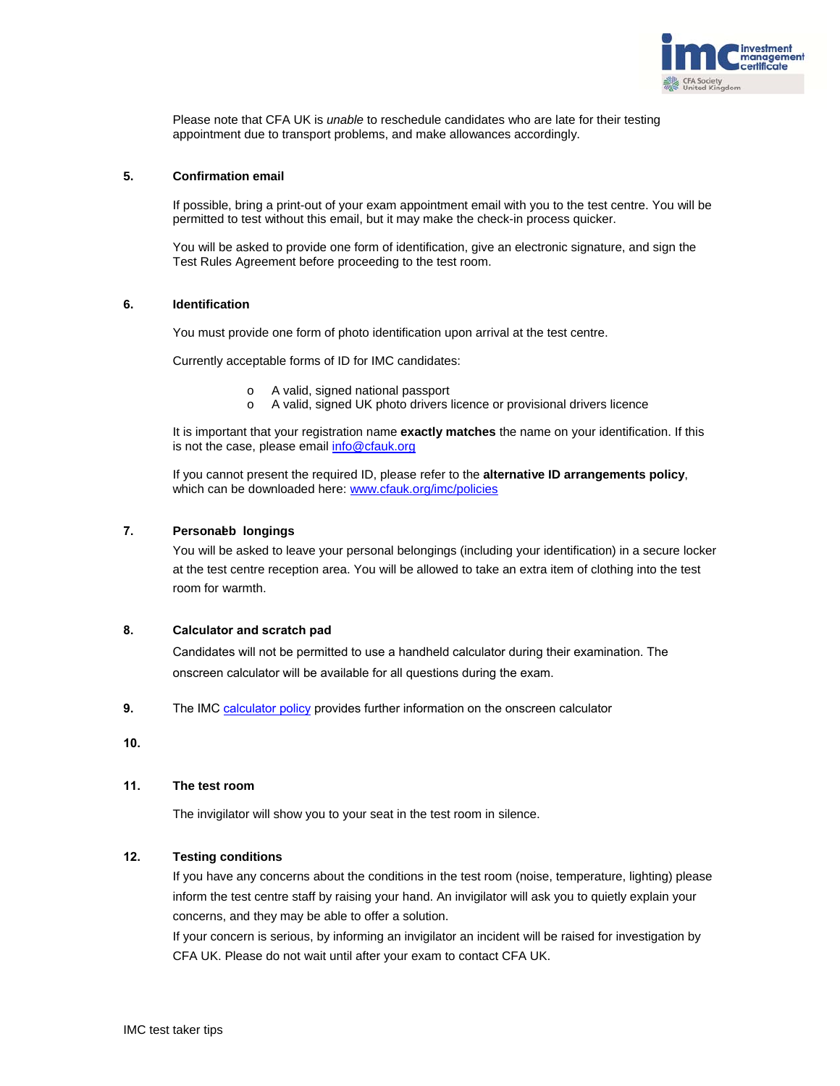

Please note that CFA UK is *unable* to reschedule candidates who are late for their testing appointment due to transport problems, and make allowances accordingly.

# **5. Confirmation email**

If possible, bring a print-out of your exam appointment email with you to the test centre. You will be permitted to test without this email, but it may make the check-in process quicker.

You will be asked to provide one form of identification, give an electronic signature, and sign the Test Rules Agreement before proceeding to the test room.

#### **6. Identification**

You must provide one form of photo identification upon arrival at the test centre.

Currently acceptable forms of ID for IMC candidates:

- o A valid, signed national passport
- o A valid, signed UK photo drivers licence or provisional drivers licence

It is important that your registration name **exactly matches** the name on your identification. If this is not the case, please email info@cfauk.org

If you cannot present the required ID, please refer to the **alternative ID arrangements policy**, which can be downloaded here: www.cfauk.org/imc/policies

# **7. Personaleb longings**

You will be asked to leave your personal belongings (including your identification) in a secure locker at the test centre reception area. You will be allowed to take an extra item of clothing into the test room for warmth.

# **8. Calculator and scratch pad**

Candidates will not be permitted to use a handheld calculator during their examination. The onscreen calculator will be available for all questions during the exam.

**9.** The IMC [calculator](https://www.cfauk.org/study/imc/exam-policies) policy provides further information on the onscreen calculator

**10.**

# **11. The test room**

The invigilator will show you to your seat in the test room in silence.

# **12. Testing conditions**

If you have any concerns about the conditions in the test room (noise, temperature, lighting) please inform the test centre staff by raising your hand. An invigilator will ask you to quietly explain your concerns, and they may be able to offer a solution.

If your concern is serious, by informing an invigilator an incident will be raised for investigation by CFA UK. Please do not wait until after your exam to contact CFA UK.